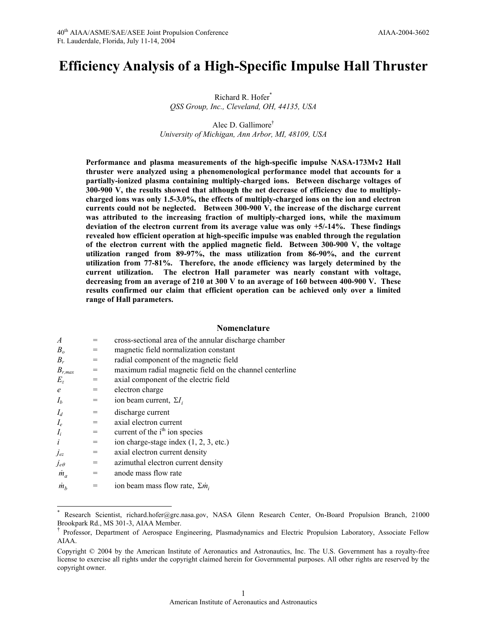# **Efficiency Analysis of a High-Specific Impulse Hall Thruster**

Richard R. Hofer\* *QSS Group, Inc., Cleveland, OH, 44135, USA* 

Alec D. Gallimore† *University of Michigan, Ann Arbor, MI, 48109, USA* 

**Performance and plasma measurements of the high-specific impulse NASA-173Mv2 Hall thruster were analyzed using a phenomenological performance model that accounts for a partially-ionized plasma containing multiply-charged ions. Between discharge voltages of 300-900 V, the results showed that although the net decrease of efficiency due to multiplycharged ions was only 1.5-3.0%, the effects of multiply-charged ions on the ion and electron currents could not be neglected. Between 300-900 V, the increase of the discharge current was attributed to the increasing fraction of multiply-charged ions, while the maximum deviation of the electron current from its average value was only +5/-14%. These findings revealed how efficient operation at high-specific impulse was enabled through the regulation of the electron current with the applied magnetic field. Between 300-900 V, the voltage utilization ranged from 89-97%, the mass utilization from 86-90%, and the current utilization from 77-81%. Therefore, the anode efficiency was largely determined by the current utilization. The electron Hall parameter was nearly constant with voltage, decreasing from an average of 210 at 300 V to an average of 160 between 400-900 V. These results confirmed our claim that efficient operation can be achieved only over a limited range of Hall parameters.** 

### **Nomenclature**

| $\overline{A}$ |     | cross-sectional area of the annular discharge chamber   |
|----------------|-----|---------------------------------------------------------|
| B <sub>o</sub> | $=$ | magnetic field normalization constant                   |
| $B_r$          | $=$ | radial component of the magnetic field                  |
| $B_{r,max}$    | $=$ | maximum radial magnetic field on the channel centerline |
| $E_z$          | $=$ | axial component of the electric field                   |
| $\epsilon$     | $=$ | electron charge                                         |
| $I_b$          | $=$ | ion beam current, $\Sigma I_i$                          |
| $I_d$          | $=$ | discharge current                                       |
| $I_e$          | $=$ | axial electron current                                  |
| $I_i$          | $=$ | current of the i <sup>th</sup> ion species              |
| $\dot{i}$      | $=$ | ion charge-stage index $(1, 2, 3, etc.)$                |
| Ĵеz            | $=$ | axial electron current density                          |
| $j_{e\theta}$  | $=$ | azimuthal electron current density                      |
| $\dot{m}_a$    | $=$ | anode mass flow rate                                    |
| m <sub>h</sub> |     | ion beam mass flow rate, $\sum m_i$                     |

 $\overline{a}$ 

<sup>\*</sup> Research Scientist, richard.hofer@grc.nasa.gov, NASA Glenn Research Center, On-Board Propulsion Branch, 21000 Brookpark Rd., MS 301-3, AIAA Member.

<sup>†</sup> Professor, Department of Aerospace Engineering, Plasmadynamics and Electric Propulsion Laboratory, Associate Fellow AIAA.

Copyright © 2004 by the American Institute of Aeronautics and Astronautics, Inc. The U.S. Government has a royalty-free license to exercise all rights under the copyright claimed herein for Governmental purposes. All other rights are reserved by the copyright owner.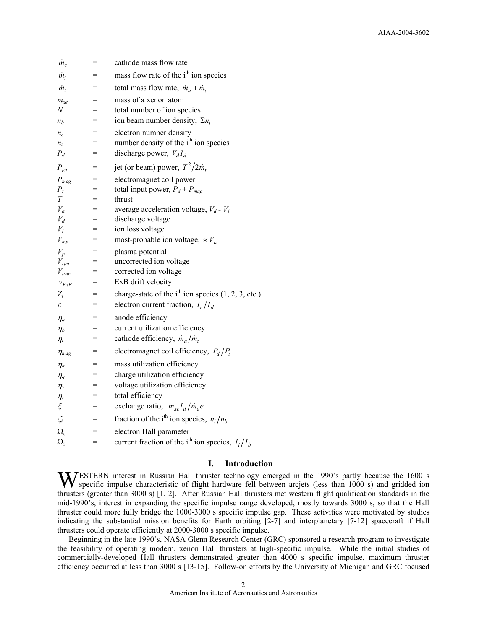| $\dot{m}_c$                    | $=$ | cathode mass flow rate                                         |
|--------------------------------|-----|----------------------------------------------------------------|
| $\dot{m}_i$                    | $=$ | mass flow rate of the i <sup>th</sup> ion species              |
| $\dot{m}_t$                    | $=$ | total mass flow rate, $\dot{m}_a + \dot{m}_c$                  |
| $m_{xe}$                       |     | mass of a xenon atom                                           |
| N                              | $=$ | total number of ion species                                    |
| $n_b$                          | $=$ | ion beam number density, $\Sigma n_i$                          |
| $n_e$                          | $=$ | electron number density                                        |
| $n_i$                          | $=$ | number density of the i <sup>th</sup> ion species              |
| $P_d$                          | $=$ | discharge power, $V_dI_d$                                      |
| $P_{jet}$                      | $=$ | jet (or beam) power, $T^2/2m_t$                                |
| $P_{mag}$                      | $=$ | electromagnet coil power                                       |
| $P_t$                          | $=$ | total input power, $P_d + P_{mag}$                             |
| T                              | $=$ | thrust                                                         |
| $V_a$                          |     | average acceleration voltage, $V_d$ - $V_l$                    |
| $V_d$                          | =   | discharge voltage                                              |
| $V_l$                          | =   | ion loss voltage                                               |
| $V_{mp}$                       | $=$ | most-probable ion voltage, $\approx V_a$                       |
| $V_p$                          | $=$ | plasma potential                                               |
| $V_{rpa}$                      | =   | uncorrected ion voltage                                        |
| $V_{true}$                     | $=$ | corrected ion voltage                                          |
| $v_{ExB}$                      |     | ExB drift velocity                                             |
| $Z_i$                          | $=$ | charge-state of the $ith$ ion species (1, 2, 3, etc.)          |
| $\mathcal E$                   | $=$ | electron current fraction, $I_e/I_d$                           |
| $\eta_a$                       | =   | anode efficiency                                               |
| $\eta_b$                       | $=$ | current utilization efficiency                                 |
| $\eta_c$                       | $=$ | cathode efficiency, $\dot{m}_a/\dot{m}_t$                      |
| $\eta_{mag}$                   | $=$ | electromagnet coil efficiency, $P_d/P_t$                       |
| $\eta_m$                       | $=$ | mass utilization efficiency                                    |
| $\eta_q$                       | $=$ | charge utilization efficiency                                  |
| $\eta_{v}$                     | $=$ | voltage utilization efficiency                                 |
| $\eta_{\scriptscriptstyle{t}}$ | =   | total efficiency                                               |
| $\xi$                          | =   | exchange ratio, $m_{xe}I_d/m_a e$                              |
| $\zeta_i$                      | $=$ | fraction of the i <sup>th</sup> ion species, $n_i/n_b$         |
| $\Omega_{\rm e}$               | $=$ | electron Hall parameter                                        |
| $\Omega_i$                     | $=$ | current fraction of the i <sup>th</sup> ion species, $I_i/I_h$ |

# **I. Introduction**

WESTERN interest in Russian Hall thruster technology emerged in the 1990's partly because the 1600 s<br>specific impulse characteristic of flight hardware fell between arcjets (less than 1000 s) and gridded ion specific impulse characteristic of flight hardware fell between arcjets (less than 1000 s) and gridded ion thrusters (greater than 3000 s) [1, 2]. After Russian Hall thrusters met western flight qualification standards in the mid-1990's, interest in expanding the specific impulse range developed, mostly towards 3000 s, so that the Hall thruster could more fully bridge the 1000-3000 s specific impulse gap. These activities were motivated by studies indicating the substantial mission benefits for Earth orbiting [2-7] and interplanetary [7-12] spacecraft if Hall thrusters could operate efficiently at 2000-3000 s specific impulse.

Beginning in the late 1990's, NASA Glenn Research Center (GRC) sponsored a research program to investigate the feasibility of operating modern, xenon Hall thrusters at high-specific impulse. While the initial studies of commercially-developed Hall thrusters demonstrated greater than 4000 s specific impulse, maximum thruster efficiency occurred at less than 3000 s [13-15]. Follow-on efforts by the University of Michigan and GRC focused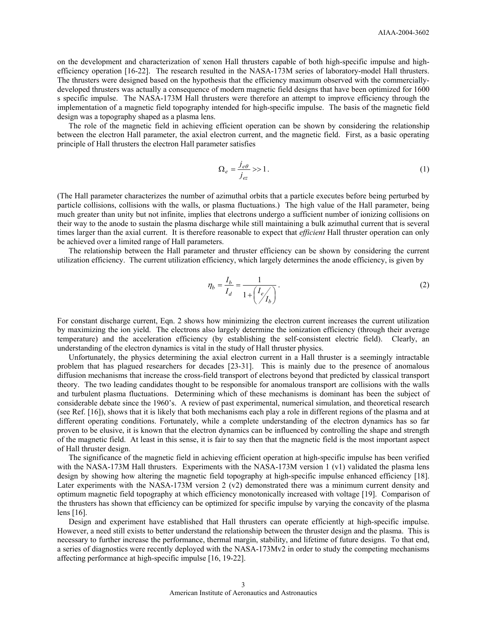on the development and characterization of xenon Hall thrusters capable of both high-specific impulse and highefficiency operation [16-22]. The research resulted in the NASA-173M series of laboratory-model Hall thrusters. The thrusters were designed based on the hypothesis that the efficiency maximum observed with the commerciallydeveloped thrusters was actually a consequence of modern magnetic field designs that have been optimized for 1600 s specific impulse. The NASA-173M Hall thrusters were therefore an attempt to improve efficiency through the implementation of a magnetic field topography intended for high-specific impulse. The basis of the magnetic field design was a topography shaped as a plasma lens.

The role of the magnetic field in achieving efficient operation can be shown by considering the relationship between the electron Hall parameter, the axial electron current, and the magnetic field. First, as a basic operating principle of Hall thrusters the electron Hall parameter satisfies

$$
\Omega_e = \frac{j_{e\theta}}{j_{ez}} \gg 1. \tag{1}
$$

(The Hall parameter characterizes the number of azimuthal orbits that a particle executes before being perturbed by particle collisions, collisions with the walls, or plasma fluctuations.) The high value of the Hall parameter, being much greater than unity but not infinite, implies that electrons undergo a sufficient number of ionizing collisions on their way to the anode to sustain the plasma discharge while still maintaining a bulk azimuthal current that is several times larger than the axial current. It is therefore reasonable to expect that *efficient* Hall thruster operation can only be achieved over a limited range of Hall parameters.

The relationship between the Hall parameter and thruster efficiency can be shown by considering the current utilization efficiency. The current utilization efficiency, which largely determines the anode efficiency, is given by

$$
\eta_b = \frac{I_b}{I_d} = \frac{1}{1 + \left(\frac{I_e}{I_b}\right)}.
$$
\n(2)

For constant discharge current, Eqn. 2 shows how minimizing the electron current increases the current utilization by maximizing the ion yield. The electrons also largely determine the ionization efficiency (through their average temperature) and the acceleration efficiency (by establishing the self-consistent electric field). Clearly, an understanding of the electron dynamics is vital in the study of Hall thruster physics.

Unfortunately, the physics determining the axial electron current in a Hall thruster is a seemingly intractable problem that has plagued researchers for decades [23-31]. This is mainly due to the presence of anomalous diffusion mechanisms that increase the cross-field transport of electrons beyond that predicted by classical transport theory. The two leading candidates thought to be responsible for anomalous transport are collisions with the walls and turbulent plasma fluctuations. Determining which of these mechanisms is dominant has been the subject of considerable debate since the 1960's. A review of past experimental, numerical simulation, and theoretical research (see Ref. [16]), shows that it is likely that both mechanisms each play a role in different regions of the plasma and at different operating conditions. Fortunately, while a complete understanding of the electron dynamics has so far proven to be elusive, it is known that the electron dynamics can be influenced by controlling the shape and strength of the magnetic field. At least in this sense, it is fair to say then that the magnetic field is the most important aspect of Hall thruster design.

The significance of the magnetic field in achieving efficient operation at high-specific impulse has been verified with the NASA-173M Hall thrusters. Experiments with the NASA-173M version 1 (v1) validated the plasma lens design by showing how altering the magnetic field topography at high-specific impulse enhanced efficiency [18]. Later experiments with the NASA-173M version 2 (v2) demonstrated there was a minimum current density and optimum magnetic field topography at which efficiency monotonically increased with voltage [19]. Comparison of the thrusters has shown that efficiency can be optimized for specific impulse by varying the concavity of the plasma lens [16].

Design and experiment have established that Hall thrusters can operate efficiently at high-specific impulse. However, a need still exists to better understand the relationship between the thruster design and the plasma. This is necessary to further increase the performance, thermal margin, stability, and lifetime of future designs. To that end, a series of diagnostics were recently deployed with the NASA-173Mv2 in order to study the competing mechanisms affecting performance at high-specific impulse [16, 19-22].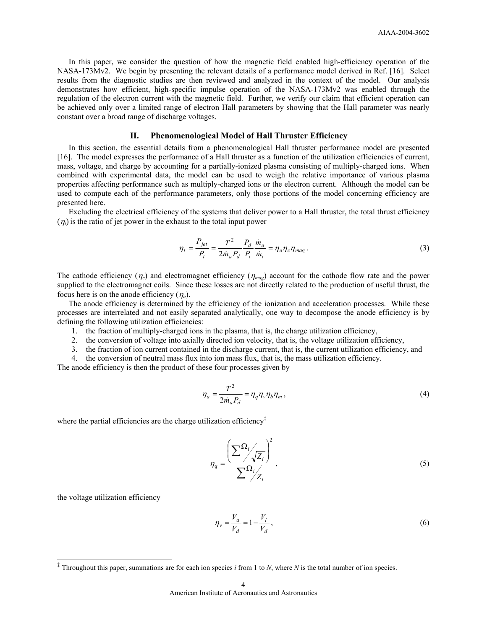In this paper, we consider the question of how the magnetic field enabled high-efficiency operation of the NASA-173Mv2. We begin by presenting the relevant details of a performance model derived in Ref. [16]. Select results from the diagnostic studies are then reviewed and analyzed in the context of the model. Our analysis demonstrates how efficient, high-specific impulse operation of the NASA-173Mv2 was enabled through the regulation of the electron current with the magnetic field. Further, we verify our claim that efficient operation can be achieved only over a limited range of electron Hall parameters by showing that the Hall parameter was nearly constant over a broad range of discharge voltages.

# **II. Phenomenological Model of Hall Thruster Efficiency**

In this section, the essential details from a phenomenological Hall thruster performance model are presented [16]. The model expresses the performance of a Hall thruster as a function of the utilization efficiencies of current, mass, voltage, and charge by accounting for a partially-ionized plasma consisting of multiply-charged ions. When combined with experimental data, the model can be used to weigh the relative importance of various plasma properties affecting performance such as multiply-charged ions or the electron current. Although the model can be used to compute each of the performance parameters, only those portions of the model concerning efficiency are presented here.

Excluding the electrical efficiency of the systems that deliver power to a Hall thruster, the total thrust efficiency  $(\eta_t)$  is the ratio of jet power in the exhaust to the total input power

$$
\eta_t = \frac{P_{jet}}{P_t} = \frac{T^2}{2\dot{m}_a P_d} \frac{P_d}{P_t} \frac{\dot{m}_a}{\dot{m}_t} = \eta_a \eta_c \eta_{mag} \,. \tag{3}
$$

The cathode efficiency  $(\eta_c)$  and electromagnet efficiency  $(\eta_{mag})$  account for the cathode flow rate and the power supplied to the electromagnet coils. Since these losses are not directly related to the production of useful thrust, the focus here is on the anode efficiency  $(\eta_a)$ .

The anode efficiency is determined by the efficiency of the ionization and acceleration processes. While these processes are interrelated and not easily separated analytically, one way to decompose the anode efficiency is by defining the following utilization efficiencies:

- 1. the fraction of multiply-charged ions in the plasma, that is, the charge utilization efficiency,
- 2. the conversion of voltage into axially directed ion velocity, that is, the voltage utilization efficiency,
- 3. the fraction of ion current contained in the discharge current, that is, the current utilization efficiency, and
- 4. the conversion of neutral mass flux into ion mass flux, that is, the mass utilization efficiency.

The anode efficiency is then the product of these four processes given by

$$
\eta_a = \frac{T^2}{2\dot{m}_a P_d} = \eta_q \eta_v \eta_b \eta_m, \qquad (4)
$$

where the partial efficiencies are the charge utilization efficiency $\ddot{\tau}$ 

$$
\eta_q = \frac{\left(\sum_{i} \frac{\Omega_i}{\sqrt{Z_i}}\right)^2}{\sum_{i} \frac{\Omega_i}{Z_i}},\tag{5}
$$

the voltage utilization efficiency

-

$$
\eta_{\nu} = \frac{V_a}{V_d} = 1 - \frac{V_l}{V_d},\tag{6}
$$

<sup>‡</sup> Throughout this paper, summations are for each ion species *i* from 1 to *N*, where *N* is the total number of ion species.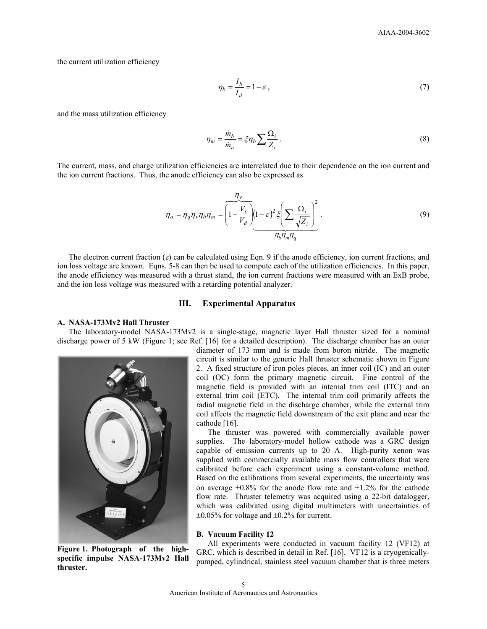the current utilization efficiency

$$
\eta_b = \frac{I_b}{I_d} = 1 - \varepsilon \,,\tag{7}
$$

and the mass utilization efficiency

$$
\eta_m = \frac{\dot{m}_b}{\dot{m}_a} = \xi \eta_b \sum \frac{\Omega_i}{Z_i} \,. \tag{8}
$$

The current, mass, and charge utilization efficiencies are interrelated due to their dependence on the ion current and the ion current fractions. Thus, the anode efficiency can also be expressed as

$$
\eta_a = \eta_q \eta_v \eta_b \eta_m = \left(1 - \frac{V_l}{V_d}\right) \underbrace{(1 - \varepsilon)^2 \xi} \left(\sum \frac{\Omega_i}{\sqrt{Z_i}}\right)^2
$$
\n<sup>(9)</sup>

The electron current fraction  $(\varepsilon)$  can be calculated using Eqn. 9 if the anode efficiency, ion current fractions, and ion loss voltage are known. Eqns. 5-8 can then be used to compute each of the utilization efficiencies. In this paper, the anode efficiency was measured with a thrust stand, the ion current fractions were measured with an ExB probe, and the ion loss voltage was measured with a retarding potential analyzer.

### **III. Experimental Apparatus**

# **A. NASA-173Mv2 Hall Thruster**

The laboratory-model NASA-173Mv2 is a single-stage, magnetic layer Hall thruster sized for a nominal discharge power of 5 kW (Figure 1; see Ref. [16] for a detailed description). The discharge chamber has an outer



**Figure 1. Photograph of the highspecific impulse NASA-173Mv2 Hall thruster.** 

diameter of 173 mm and is made from boron nitride. The magnetic circuit is similar to the generic Hall thruster schematic shown in Figure 2. A fixed structure of iron poles pieces, an inner coil (IC) and an outer coil (OC) form the primary magnetic circuit. Fine control of the magnetic field is provided with an internal trim coil (ITC) and an external trim coil (ETC). The internal trim coil primarily affects the radial magnetic field in the discharge chamber, while the external trim coil affects the magnetic field downstream of the exit plane and near the cathode [16].

The thruster was powered with commercially available power supplies. The laboratory-model hollow cathode was a GRC design capable of emission currents up to 20 A. High-purity xenon was supplied with commercially available mass flow controllers that were calibrated before each experiment using a constant-volume method. Based on the calibrations from several experiments, the uncertainty was on average  $\pm 0.8\%$  for the anode flow rate and  $\pm 1.2\%$  for the cathode flow rate. Thruster telemetry was acquired using a 22-bit datalogger, which was calibrated using digital multimeters with uncertainties of  $\pm 0.05\%$  for voltage and  $\pm 0.2\%$  for current.

### **B. Vacuum Facility 12**

All experiments were conducted in vacuum facility 12 (VF12) at GRC, which is described in detail in Ref. [16]. VF12 is a cryogenicallypumped, cylindrical, stainless steel vacuum chamber that is three meters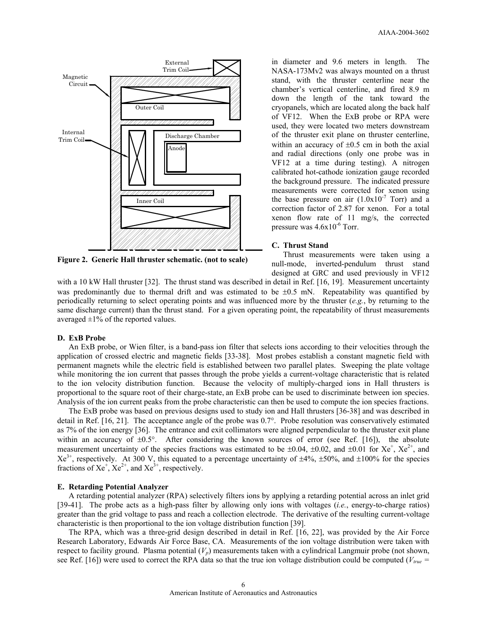

**Figure 2. Generic Hall thruster schematic. (not to scale)** 

in diameter and 9.6 meters in length. The NASA-173Mv2 was always mounted on a thrust stand, with the thruster centerline near the chamber's vertical centerline, and fired 8.9 m down the length of the tank toward the cryopanels, which are located along the back half of VF12. When the ExB probe or RPA were used, they were located two meters downstream of the thruster exit plane on thruster centerline, within an accuracy of  $\pm 0.5$  cm in both the axial and radial directions (only one probe was in VF12 at a time during testing). A nitrogen calibrated hot-cathode ionization gauge recorded the background pressure. The indicated pressure measurements were corrected for xenon using the base pressure on air  $(1.0x10<sup>-7</sup>$  Torr) and a correction factor of 2.87 for xenon. For a total xenon flow rate of 11 mg/s, the corrected pressure was  $4.6x10^{-6}$  Torr.

### **C. Thrust Stand**

Thrust measurements were taken using a null-mode, inverted-pendulum thrust stand designed at GRC and used previously in VF12

with a 10 kW Hall thruster [32]. The thrust stand was described in detail in Ref. [16, 19]. Measurement uncertainty was predominantly due to thermal drift and was estimated to be  $\pm 0.5$  mN. Repeatability was quantified by periodically returning to select operating points and was influenced more by the thruster (*e.g.*, by returning to the same discharge current) than the thrust stand. For a given operating point, the repeatability of thrust measurements averaged  $\pm 1\%$  of the reported values.

#### **D. ExB Probe**

An ExB probe, or Wien filter, is a band-pass ion filter that selects ions according to their velocities through the application of crossed electric and magnetic fields [33-38]. Most probes establish a constant magnetic field with permanent magnets while the electric field is established between two parallel plates. Sweeping the plate voltage while monitoring the ion current that passes through the probe yields a current-voltage characteristic that is related to the ion velocity distribution function. Because the velocity of multiply-charged ions in Hall thrusters is proportional to the square root of their charge-state, an ExB probe can be used to discriminate between ion species. Analysis of the ion current peaks from the probe characteristic can then be used to compute the ion species fractions.

The ExB probe was based on previous designs used to study ion and Hall thrusters [36-38] and was described in detail in Ref. [16, 21]. The acceptance angle of the probe was 0.7°. Probe resolution was conservatively estimated as 7% of the ion energy [36]. The entrance and exit collimators were aligned perpendicular to the thruster exit plane within an accuracy of  $\pm 0.5^{\circ}$ . After considering the known sources of error (see Ref. [16]), the absolute measurement uncertainty of the species fractions was estimated to be  $\pm 0.04$ ,  $\pm 0.02$ , and  $\pm 0.01$  for Xe<sup>+</sup>, Xe<sup>2+</sup>, and  $Xe^{3+}$ , respectively. At 300 V, this equated to a percentage uncertainty of  $\pm 4\%$ ,  $\pm 50\%$ , and  $\pm 100\%$  for the species fractions of  $Xe^{+}$ ,  $Xe^{2+}$ , and  $Xe^{3+}$ , respectively.

# **E. Retarding Potential Analyzer**

A retarding potential analyzer (RPA) selectively filters ions by applying a retarding potential across an inlet grid [39-41]. The probe acts as a high-pass filter by allowing only ions with voltages (*i.e.*, energy-to-charge ratios) greater than the grid voltage to pass and reach a collection electrode. The derivative of the resulting current-voltage characteristic is then proportional to the ion voltage distribution function [39].

The RPA, which was a three-grid design described in detail in Ref. [16, 22], was provided by the Air Force Research Laboratory, Edwards Air Force Base, CA. Measurements of the ion voltage distribution were taken with respect to facility ground. Plasma potential  $(V_p)$  measurements taken with a cylindrical Langmuir probe (not shown, see Ref. [16]) were used to correct the RPA data so that the true ion voltage distribution could be computed ( $V_{true}$  =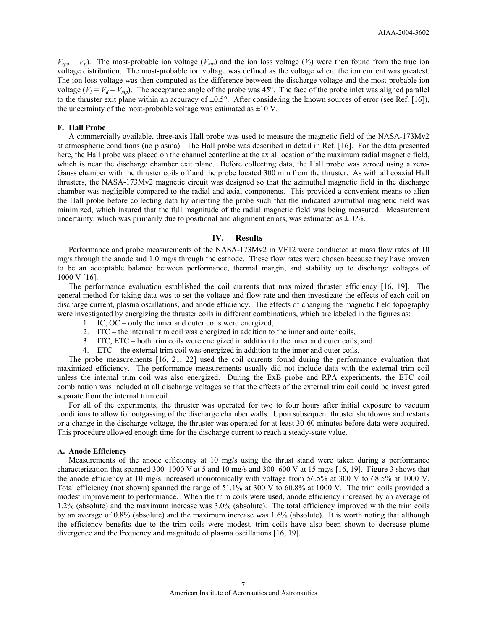$V_{rpa} - V_p$ ). The most-probable ion voltage ( $V_{mp}$ ) and the ion loss voltage ( $V_l$ ) were then found from the true ion voltage distribution. The most-probable ion voltage was defined as the voltage where the ion current was greatest. The ion loss voltage was then computed as the difference between the discharge voltage and the most-probable ion voltage  $(V_l = V_d - V_{mp})$ . The acceptance angle of the probe was 45°. The face of the probe inlet was aligned parallel to the thruster exit plane within an accuracy of  $\pm 0.5^{\circ}$ . After considering the known sources of error (see Ref. [16]), the uncertainty of the most-probable voltage was estimated as  $\pm 10$  V.

### **F. Hall Probe**

A commercially available, three-axis Hall probe was used to measure the magnetic field of the NASA-173Mv2 at atmospheric conditions (no plasma). The Hall probe was described in detail in Ref. [16]. For the data presented here, the Hall probe was placed on the channel centerline at the axial location of the maximum radial magnetic field, which is near the discharge chamber exit plane. Before collecting data, the Hall probe was zeroed using a zero-Gauss chamber with the thruster coils off and the probe located 300 mm from the thruster. As with all coaxial Hall thrusters, the NASA-173Mv2 magnetic circuit was designed so that the azimuthal magnetic field in the discharge chamber was negligible compared to the radial and axial components. This provided a convenient means to align the Hall probe before collecting data by orienting the probe such that the indicated azimuthal magnetic field was minimized, which insured that the full magnitude of the radial magnetic field was being measured. Measurement uncertainty, which was primarily due to positional and alignment errors, was estimated as  $\pm 10\%$ .

# **IV. Results**

Performance and probe measurements of the NASA-173Mv2 in VF12 were conducted at mass flow rates of 10 mg/s through the anode and 1.0 mg/s through the cathode. These flow rates were chosen because they have proven to be an acceptable balance between performance, thermal margin, and stability up to discharge voltages of 1000 V [16].

The performance evaluation established the coil currents that maximized thruster efficiency [16, 19]. The general method for taking data was to set the voltage and flow rate and then investigate the effects of each coil on discharge current, plasma oscillations, and anode efficiency. The effects of changing the magnetic field topography were investigated by energizing the thruster coils in different combinations, which are labeled in the figures as:

- 1. IC, OC only the inner and outer coils were energized,
- 2. ITC the internal trim coil was energized in addition to the inner and outer coils,
- 3. ITC, ETC both trim coils were energized in addition to the inner and outer coils, and
- 4. ETC the external trim coil was energized in addition to the inner and outer coils.

The probe measurements [16, 21, 22] used the coil currents found during the performance evaluation that maximized efficiency. The performance measurements usually did not include data with the external trim coil unless the internal trim coil was also energized. During the ExB probe and RPA experiments, the ETC coil combination was included at all discharge voltages so that the effects of the external trim coil could be investigated separate from the internal trim coil.

For all of the experiments, the thruster was operated for two to four hours after initial exposure to vacuum conditions to allow for outgassing of the discharge chamber walls. Upon subsequent thruster shutdowns and restarts or a change in the discharge voltage, the thruster was operated for at least 30-60 minutes before data were acquired. This procedure allowed enough time for the discharge current to reach a steady-state value.

### **A. Anode Efficiency**

Measurements of the anode efficiency at 10 mg/s using the thrust stand were taken during a performance characterization that spanned  $300-1000$  V at 5 and 10 mg/s and  $300-600$  V at 15 mg/s [16, 19]. Figure 3 shows that the anode efficiency at 10 mg/s increased monotonically with voltage from 56.5% at 300 V to 68.5% at 1000 V. Total efficiency (not shown) spanned the range of 51.1% at 300 V to 60.8% at 1000 V.The trim coils provided a modest improvement to performance. When the trim coils were used, anode efficiency increased by an average of 1.2% (absolute) and the maximum increase was 3.0% (absolute). The total efficiency improved with the trim coils by an average of 0.8% (absolute) and the maximum increase was 1.6% (absolute). It is worth noting that although the efficiency benefits due to the trim coils were modest, trim coils have also been shown to decrease plume divergence and the frequency and magnitude of plasma oscillations [16, 19].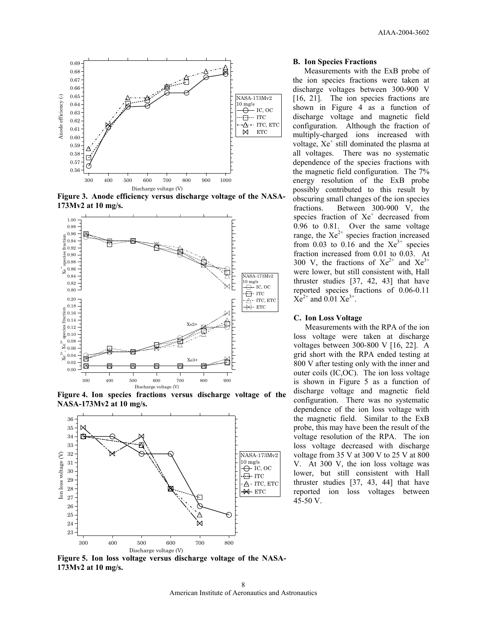

**Figure 3. Anode efficiency versus discharge voltage of the NASA-173Mv2 at 10 mg/s.** 



**Figure 4. Ion species fractions versus discharge voltage of the NASA-173Mv2 at 10 mg/s.** 



**B. Ion Species Fractions** 

Measurements with the ExB probe of the ion species fractions were taken at discharge voltages between 300-900 V [16, 21]. The ion species fractions are shown in Figure 4 as a function of discharge voltage and magnetic field configuration. Although the fraction of multiply-charged ions increased with voltage,  $Xe^+$  still dominated the plasma at all voltages. There was no systematic dependence of the species fractions with the magnetic field configuration. The 7% energy resolution of the ExB probe possibly contributed to this result by obscuring small changes of the ion species fractions. Between 300-900 V, the species fraction of Xe<sup>+</sup> decreased from 0.96 to 0.81. Over the same voltage range, the  $Xe^{2+}$  species fraction increased from 0.03 to 0.16 and the  $Xe^{3+}$  species fraction increased from 0.01 to 0.03. At 300 V, the fractions of  $Xe^{2+}$  and  $Xe^{3+}$ were lower, but still consistent with, Hall thruster studies [37, 42, 43] that have reported species fractions of 0.06-0.11  $Xe^{2+}$  and 0.01  $Xe^{3+}$ .

### **C. Ion Loss Voltage**

Measurements with the RPA of the ion loss voltage were taken at discharge voltages between 300-800 V [16, 22]. A grid short with the RPA ended testing at 800 V after testing only with the inner and outer coils (IC,OC). The ion loss voltage is shown in Figure 5 as a function of discharge voltage and magnetic field configuration. There was no systematic dependence of the ion loss voltage with the magnetic field. Similar to the ExB probe, this may have been the result of the voltage resolution of the RPA. The ion loss voltage decreased with discharge voltage from 35 V at 300 V to 25 V at 800 V. At 300 V, the ion loss voltage was lower, but still consistent with Hall thruster studies [37, 43, 44] that have reported ion loss voltages between 45-50 V.

**Figure 5. Ion loss voltage versus discharge voltage of the NASA-173Mv2 at 10 mg/s.**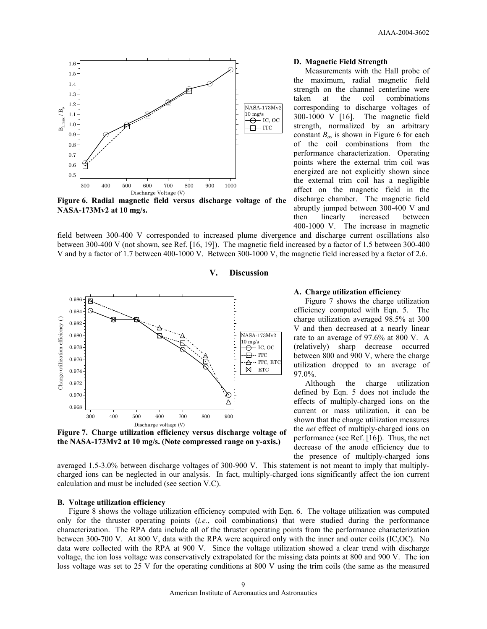

**Figure 6. Radial magnetic field versus discharge voltage of the NASA-173Mv2 at 10 mg/s.** 

field between 300-400 V corresponded to increased plume divergence and discharge current oscillations also between 300-400 V (not shown, see Ref. [16, 19]). The magnetic field increased by a factor of 1.5 between 300-400 V and by a factor of 1.7 between 400-1000 V. Between 300-1000 V, the magnetic field increased by a factor of 2.6.

# **V. Discussion**



**Figure 7. Charge utilization efficiency versus discharge voltage of the NASA-173Mv2 at 10 mg/s. (Note compressed range on y-axis.)** 

# **D. Magnetic Field Strength**

Measurements with the Hall probe of the maximum, radial magnetic field strength on the channel centerline were taken at the coil combinations corresponding to discharge voltages of 300-1000 V [16]. The magnetic field strength, normalized by an arbitrary constant  $B<sub>o</sub>$ , is shown in Figure 6 for each of the coil combinations from the performance characterization. Operating points where the external trim coil was energized are not explicitly shown since the external trim coil has a negligible affect on the magnetic field in the discharge chamber. The magnetic field abruptly jumped between 300-400 V and then linearly increased between 400-1000 V. The increase in magnetic

# **A. Charge utilization efficiency**

Figure 7 shows the charge utilization efficiency computed with Eqn. 5. The charge utilization averaged 98.5% at 300 V and then decreased at a nearly linear rate to an average of 97.6% at 800 V. A (relatively) sharp decrease occurred between 800 and 900 V, where the charge utilization dropped to an average of 97.0%.

Although the charge utilization defined by Eqn. 5 does not include the effects of multiply-charged ions on the current or mass utilization, it can be shown that the charge utilization measures the *net* effect of multiply-charged ions on performance (see Ref. [16]). Thus, the net decrease of the anode efficiency due to the presence of multiply-charged ions

averaged 1.5-3.0% between discharge voltages of 300-900 V. This statement is not meant to imply that multiplycharged ions can be neglected in our analysis. In fact, multiply-charged ions significantly affect the ion current calculation and must be included (see section V.C).

### **B. Voltage utilization efficiency**

Figure 8 shows the voltage utilization efficiency computed with Eqn. 6. The voltage utilization was computed only for the thruster operating points (*i.e.*, coil combinations) that were studied during the performance characterization. The RPA data include all of the thruster operating points from the performance characterization between 300-700 V. At 800 V, data with the RPA were acquired only with the inner and outer coils (IC,OC). No data were collected with the RPA at 900 V. Since the voltage utilization showed a clear trend with discharge voltage, the ion loss voltage was conservatively extrapolated for the missing data points at 800 and 900 V. The ion loss voltage was set to 25 V for the operating conditions at 800 V using the trim coils (the same as the measured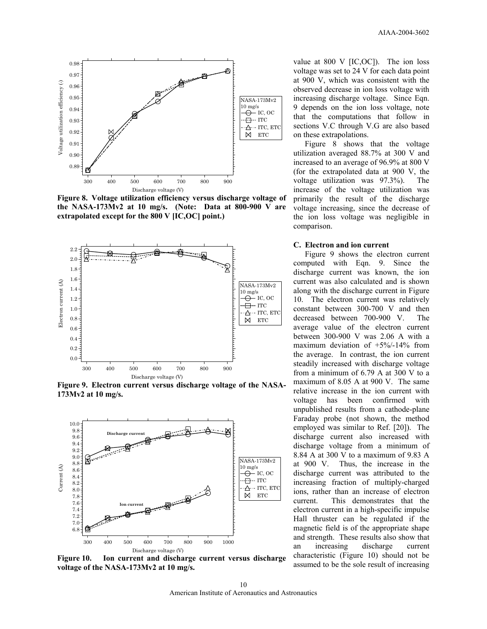

**Figure 8. Voltage utilization efficiency versus discharge voltage of the NASA-173Mv2 at 10 mg/s. (Note: Data at 800-900 V are extrapolated except for the 800 V [IC,OC] point.)** 



**Figure 9. Electron current versus discharge voltage of the NASA-173Mv2 at 10 mg/s.** 



**Figure 10. Ion current and discharge current versus discharge voltage of the NASA-173Mv2 at 10 mg/s.** 

value at 800 V [IC,OC]). The ion loss voltage was set to 24 V for each data point at 900 V, which was consistent with the observed decrease in ion loss voltage with increasing discharge voltage. Since Eqn. 9 depends on the ion loss voltage, note that the computations that follow in sections V.C through V.G are also based on these extrapolations.

Figure 8 shows that the voltage utilization averaged 88.7% at 300 V and increased to an average of 96.9% at 800 V (for the extrapolated data at 900 V, the voltage utilization was 97.3%). The increase of the voltage utilization was primarily the result of the discharge voltage increasing, since the decrease of the ion loss voltage was negligible in comparison.

### **C. Electron and ion current**

Figure 9 shows the electron current computed with Eqn. 9. Since the discharge current was known, the ion current was also calculated and is shown along with the discharge current in Figure 10. The electron current was relatively constant between 300-700 V and then decreased between 700-900 V. The average value of the electron current between 300-900 V was 2.06 A with a maximum deviation of +5%/-14% from the average. In contrast, the ion current steadily increased with discharge voltage from a minimum of 6.79 A at 300 V to a maximum of 8.05 A at 900 V. The same relative increase in the ion current with voltage has been confirmed with unpublished results from a cathode-plane Faraday probe (not shown, the method employed was similar to Ref. [20]). The discharge current also increased with discharge voltage from a minimum of 8.84 A at 300 V to a maximum of 9.83 A at 900 V. Thus, the increase in the discharge current was attributed to the increasing fraction of multiply-charged ions, rather than an increase of electron current. This demonstrates that the electron current in a high-specific impulse Hall thruster can be regulated if the magnetic field is of the appropriate shape and strength. These results also show that an increasing discharge current characteristic (Figure 10) should not be assumed to be the sole result of increasing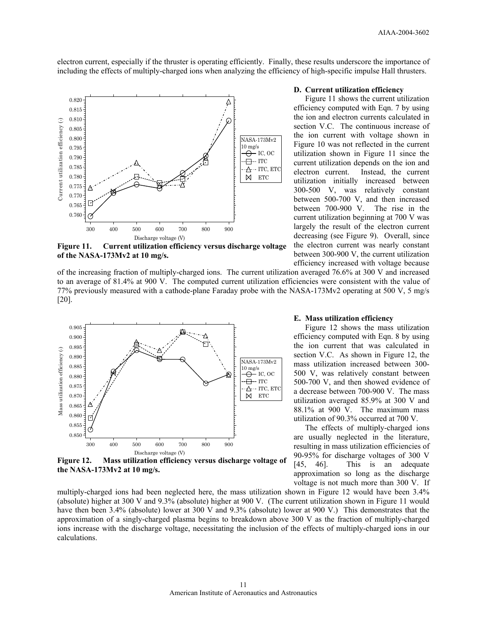electron current, especially if the thruster is operating efficiently. Finally, these results underscore the importance of including the effects of multiply-charged ions when analyzing the efficiency of high-specific impulse Hall thrusters.



**Figure 11. Current utilization efficiency versus discharge voltage of the NASA-173Mv2 at 10 mg/s.** 

of the increasing fraction of multiply-charged ions. The current utilization averaged 76.6% at 300 V and increased to an average of 81.4% at 900 V. The computed current utilization efficiencies were consistent with the value of 77% previously measured with a cathode-plane Faraday probe with the NASA-173Mv2 operating at 500 V, 5 mg/s [20].



**Figure 12. Mass utilization efficiency versus discharge voltage of the NASA-173Mv2 at 10 mg/s.** 

multiply-charged ions had been neglected here, the mass utilization shown in Figure 12 would have been 3.4% (absolute) higher at 300 V and 9.3% (absolute) higher at 900 V. (The current utilization shown in Figure 11 would have then been 3.4% (absolute) lower at 300 V and 9.3% (absolute) lower at 900 V.) This demonstrates that the approximation of a singly-charged plasma begins to breakdown above 300 V as the fraction of multiply-charged ions increase with the discharge voltage, necessitating the inclusion of the effects of multiply-charged ions in our calculations.

### **D. Current utilization efficiency**

Figure 11 shows the current utilization efficiency computed with Eqn. 7 by using the ion and electron currents calculated in section V.C. The continuous increase of the ion current with voltage shown in Figure 10 was not reflected in the current utilization shown in Figure 11 since the current utilization depends on the ion and electron current. Instead, the current utilization initially increased between 300-500 V, was relatively constant between 500-700 V, and then increased between 700-900 V. The rise in the current utilization beginning at 700 V was largely the result of the electron current decreasing (see Figure 9). Overall, since the electron current was nearly constant between 300-900 V, the current utilization efficiency increased with voltage because

### **E. Mass utilization efficiency**

Figure 12 shows the mass utilization efficiency computed with Eqn. 8 by using the ion current that was calculated in section V.C. As shown in Figure 12, the mass utilization increased between 300- 500 V, was relatively constant between 500-700 V, and then showed evidence of a decrease between 700-900 V. The mass utilization averaged 85.9% at 300 V and 88.1% at 900 V. The maximum mass utilization of 90.3% occurred at 700 V.

The effects of multiply-charged ions are usually neglected in the literature, resulting in mass utilization efficiencies of 90-95% for discharge voltages of 300 V [45, 46]. This is an adequate approximation so long as the discharge voltage is not much more than 300 V. If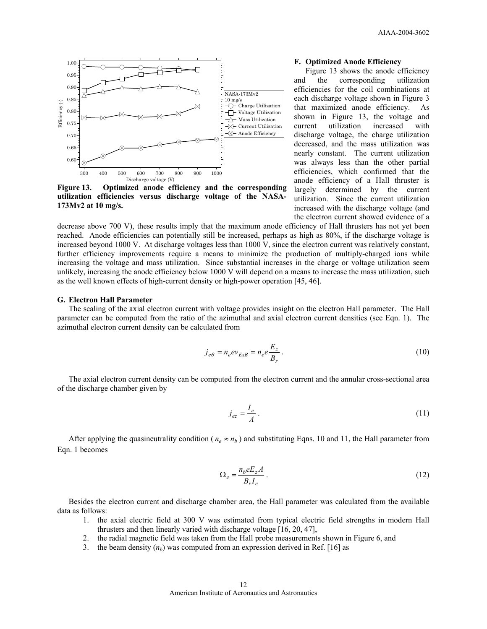

**Figure 13. Optimized anode efficiency and the corresponding utilization efficiencies versus discharge voltage of the NASA-173Mv2 at 10 mg/s.** 

#### **F. Optimized Anode Efficiency**

Figure 13 shows the anode efficiency and the corresponding utilization efficiencies for the coil combinations at each discharge voltage shown in Figure 3 that maximized anode efficiency. As shown in Figure 13, the voltage and current utilization increased with discharge voltage, the charge utilization decreased, and the mass utilization was nearly constant. The current utilization was always less than the other partial efficiencies, which confirmed that the anode efficiency of a Hall thruster is largely determined by the current utilization. Since the current utilization increased with the discharge voltage (and the electron current showed evidence of a

decrease above 700 V), these results imply that the maximum anode efficiency of Hall thrusters has not yet been reached. Anode efficiencies can potentially still be increased, perhaps as high as 80%, if the discharge voltage is increased beyond 1000 V. At discharge voltages less than 1000 V, since the electron current was relatively constant, further efficiency improvements require a means to minimize the production of multiply-charged ions while increasing the voltage and mass utilization. Since substantial increases in the charge or voltage utilization seem unlikely, increasing the anode efficiency below 1000 V will depend on a means to increase the mass utilization, such as the well known effects of high-current density or high-power operation [45, 46].

# **G. Electron Hall Parameter**

The scaling of the axial electron current with voltage provides insight on the electron Hall parameter. The Hall parameter can be computed from the ratio of the azimuthal and axial electron current densities (see Eqn. 1). The azimuthal electron current density can be calculated from

$$
j_{e\theta} = n_e e v_{ExB} = n_e e \frac{E_z}{B_r} \,. \tag{10}
$$

The axial electron current density can be computed from the electron current and the annular cross-sectional area of the discharge chamber given by

$$
j_{ez} = \frac{I_e}{A} \,. \tag{11}
$$

After applying the quasineutrality condition ( $n_e \approx n_b$ ) and substituting Eqns. 10 and 11, the Hall parameter from Eqn. 1 becomes

$$
\Omega_e = \frac{n_b e E_z A}{B_r I_e} \,. \tag{12}
$$

Besides the electron current and discharge chamber area, the Hall parameter was calculated from the available data as follows:

- 1. the axial electric field at 300 V was estimated from typical electric field strengths in modern Hall thrusters and then linearly varied with discharge voltage [16, 20, 47],
- 2. the radial magnetic field was taken from the Hall probe measurements shown in Figure 6, and
- 3. the beam density  $(n_b)$  was computed from an expression derived in Ref. [16] as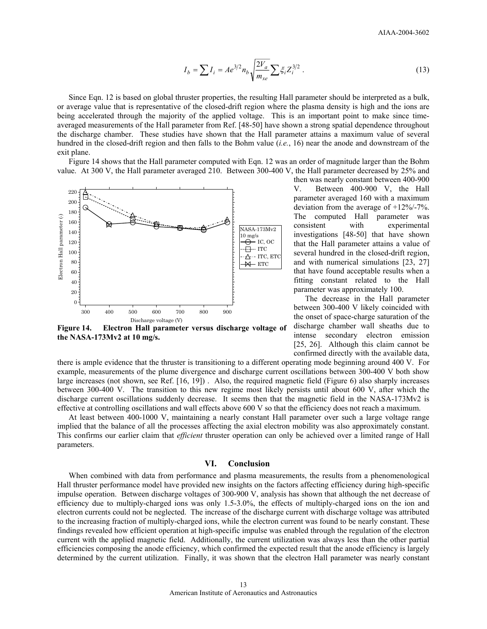$$
I_b = \sum I_i = A e^{3/2} n_b \sqrt{\frac{2V_a}{m_{xe}}} \sum \xi_i Z_i^{3/2} . \tag{13}
$$

Since Eqn. 12 is based on global thruster properties, the resulting Hall parameter should be interpreted as a bulk, or average value that is representative of the closed-drift region where the plasma density is high and the ions are being accelerated through the majority of the applied voltage. This is an important point to make since timeaveraged measurements of the Hall parameter from Ref. [48-50] have shown a strong spatial dependence throughout the discharge chamber. These studies have shown that the Hall parameter attains a maximum value of several hundred in the closed-drift region and then falls to the Bohm value (*i.e.*, 16) near the anode and downstream of the exit plane.

Figure 14 shows that the Hall parameter computed with Eqn. 12 was an order of magnitude larger than the Bohm value. At 300 V, the Hall parameter averaged 210. Between 300-400 V, the Hall parameter decreased by 25% and



**Figure 14. Electron Hall parameter versus discharge voltage of the NASA-173Mv2 at 10 mg/s.** 

then was nearly constant between 400-900 V. Between 400-900 V, the Hall parameter averaged 160 with a maximum deviation from the average of +12%/-7%. The computed Hall parameter was consistent with experimental investigations [48-50] that have shown that the Hall parameter attains a value of several hundred in the closed-drift region, and with numerical simulations [23, 27] that have found acceptable results when a fitting constant related to the Hall parameter was approximately 100.

The decrease in the Hall parameter between 300-400 V likely coincided with the onset of space-charge saturation of the discharge chamber wall sheaths due to intense secondary electron emission [25, 26]. Although this claim cannot be confirmed directly with the available data,

there is ample evidence that the thruster is transitioning to a different operating mode beginning around 400 V. For example, measurements of the plume divergence and discharge current oscillations between 300-400 V both show large increases (not shown, see Ref. [16, 19]) . Also, the required magnetic field (Figure 6) also sharply increases between 300-400 V. The transition to this new regime most likely persists until about 600 V, after which the discharge current oscillations suddenly decrease. It seems then that the magnetic field in the NASA-173Mv2 is effective at controlling oscillations and wall effects above 600 V so that the efficiency does not reach a maximum.

At least between 400-1000 V, maintaining a nearly constant Hall parameter over such a large voltage range implied that the balance of all the processes affecting the axial electron mobility was also approximately constant. This confirms our earlier claim that *efficient* thruster operation can only be achieved over a limited range of Hall parameters.

# **VI. Conclusion**

When combined with data from performance and plasma measurements, the results from a phenomenological Hall thruster performance model have provided new insights on the factors affecting efficiency during high-specific impulse operation. Between discharge voltages of 300-900 V, analysis has shown that although the net decrease of efficiency due to multiply-charged ions was only 1.5-3.0%, the effects of multiply-charged ions on the ion and electron currents could not be neglected. The increase of the discharge current with discharge voltage was attributed to the increasing fraction of multiply-charged ions, while the electron current was found to be nearly constant. These findings revealed how efficient operation at high-specific impulse was enabled through the regulation of the electron current with the applied magnetic field. Additionally, the current utilization was always less than the other partial efficiencies composing the anode efficiency, which confirmed the expected result that the anode efficiency is largely determined by the current utilization. Finally, it was shown that the electron Hall parameter was nearly constant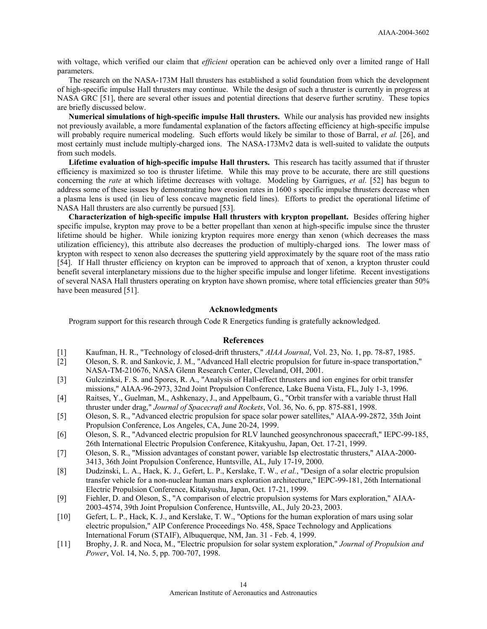with voltage, which verified our claim that *efficient* operation can be achieved only over a limited range of Hall parameters.

The research on the NASA-173M Hall thrusters has established a solid foundation from which the development of high-specific impulse Hall thrusters may continue. While the design of such a thruster is currently in progress at NASA GRC [51], there are several other issues and potential directions that deserve further scrutiny. These topics are briefly discussed below.

**Numerical simulations of high-specific impulse Hall thrusters.** While our analysis has provided new insights not previously available, a more fundamental explanation of the factors affecting efficiency at high-specific impulse will probably require numerical modeling. Such efforts would likely be similar to those of Barral, *et al.* [26], and most certainly must include multiply-charged ions. The NASA-173Mv2 data is well-suited to validate the outputs from such models.

**Lifetime evaluation of high-specific impulse Hall thrusters.** This research has tacitly assumed that if thruster efficiency is maximized so too is thruster lifetime. While this may prove to be accurate, there are still questions concerning the *rate* at which lifetime decreases with voltage. Modeling by Garrigues, *et al*. [52] has begun to address some of these issues by demonstrating how erosion rates in 1600 s specific impulse thrusters decrease when a plasma lens is used (in lieu of less concave magnetic field lines). Efforts to predict the operational lifetime of NASA Hall thrusters are also currently be pursued [53].

**Characterization of high-specific impulse Hall thrusters with krypton propellant.** Besides offering higher specific impulse, krypton may prove to be a better propellant than xenon at high-specific impulse since the thruster lifetime should be higher. While ionizing krypton requires more energy than xenon (which decreases the mass utilization efficiency), this attribute also decreases the production of multiply-charged ions. The lower mass of krypton with respect to xenon also decreases the sputtering yield approximately by the square root of the mass ratio [54]. If Hall thruster efficiency on krypton can be improved to approach that of xenon, a krypton thruster could benefit several interplanetary missions due to the higher specific impulse and longer lifetime. Recent investigations of several NASA Hall thrusters operating on krypton have shown promise, where total efficiencies greater than 50% have been measured [51].

# **Acknowledgments**

Program support for this research through Code R Energetics funding is gratefully acknowledged.

# **References**

- [1] Kaufman, H. R., "Technology of closed-drift thrusters," *AIAA Journal*, Vol. 23, No. 1, pp. 78-87, 1985.
- [2] Oleson, S. R. and Sankovic, J. M., "Advanced Hall electric propulsion for future in-space transportation," NASA-TM-210676, NASA Glenn Research Center, Cleveland, OH, 2001.
- [3] Gulczinksi, F. S. and Spores, R. A., "Analysis of Hall-effect thrusters and ion engines for orbit transfer missions," AIAA-96-2973, 32nd Joint Propulsion Conference, Lake Buena Vista, FL, July 1-3, 1996.
- [4] Raitses, Y., Guelman, M., Ashkenazy, J., and Appelbaum, G., "Orbit transfer with a variable thrust Hall thruster under drag," *Journal of Spacecraft and Rockets*, Vol. 36, No. 6, pp. 875-881, 1998.
- [5] Oleson, S. R., "Advanced electric propulsion for space solar power satellites," AIAA-99-2872, 35th Joint Propulsion Conference, Los Angeles, CA, June 20-24, 1999.
- [6] Oleson, S. R., "Advanced electric propulsion for RLV launched geosynchronous spacecraft," IEPC-99-185, 26th International Electric Propulsion Conference, Kitakyushu, Japan, Oct. 17-21, 1999.
- [7] Oleson, S. R., "Mission advantages of constant power, variable Isp electrostatic thrusters," AIAA-2000- 3413, 36th Joint Propulsion Conference, Huntsville, AL, July 17-19, 2000.
- [8] Dudzinski, L. A., Hack, K. J., Gefert, L. P., Kerslake, T. W.*, et al.*, "Design of a solar electric propulsion transfer vehicle for a non-nuclear human mars exploration architecture," IEPC-99-181, 26th International Electric Propulsion Conference, Kitakyushu, Japan, Oct. 17-21, 1999.
- [9] Fiehler, D. and Oleson, S., "A comparison of electric propulsion systems for Mars exploration," AIAA-2003-4574, 39th Joint Propulsion Conference, Huntsville, AL, July 20-23, 2003.
- [10] Gefert, L. P., Hack, K. J., and Kerslake, T. W., "Options for the human exploration of mars using solar electric propulsion," AIP Conference Proceedings No. 458, Space Technology and Applications International Forum (STAIF), Albuquerque, NM, Jan. 31 - Feb. 4, 1999.
- [11] Brophy, J. R. and Noca, M., "Electric propulsion for solar system exploration," *Journal of Propulsion and Power*, Vol. 14, No. 5, pp. 700-707, 1998.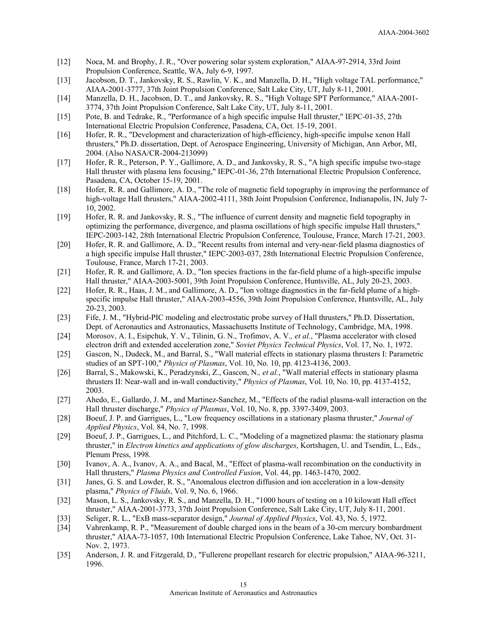- [12] Noca, M. and Brophy, J. R., "Over powering solar system exploration," AIAA-97-2914, 33rd Joint Propulsion Conference, Seattle, WA, July 6-9, 1997.
- [13] Jacobson, D. T., Jankovsky, R. S., Rawlin, V. K., and Manzella, D. H., "High voltage TAL performance," AIAA-2001-3777, 37th Joint Propulsion Conference, Salt Lake City, UT, July 8-11, 2001.
- [14] Manzella, D. H., Jacobson, D. T., and Jankovsky, R. S., "High Voltage SPT Performance," AIAA-2001- 3774, 37th Joint Propulsion Conference, Salt Lake City, UT, July 8-11, 2001.
- [15] Pote, B. and Tedrake, R., "Performance of a high specific impulse Hall thruster," IEPC-01-35, 27th International Electric Propulsion Conference, Pasadena, CA, Oct. 15-19, 2001.
- [16] Hofer, R. R., "Development and characterization of high-efficiency, high-specific impulse xenon Hall thrusters," Ph.D. dissertation, Dept. of Aerospace Engineering, University of Michigan, Ann Arbor, MI, 2004. (Also NASA/CR-2004-213099)
- [17] Hofer, R. R., Peterson, P. Y., Gallimore, A. D., and Jankovsky, R. S., "A high specific impulse two-stage Hall thruster with plasma lens focusing," IEPC-01-36, 27th International Electric Propulsion Conference, Pasadena, CA, October 15-19, 2001.
- [18] Hofer, R. R. and Gallimore, A. D., "The role of magnetic field topography in improving the performance of high-voltage Hall thrusters," AIAA-2002-4111, 38th Joint Propulsion Conference, Indianapolis, IN, July 7- 10, 2002.
- [19] Hofer, R. R. and Jankovsky, R. S., "The influence of current density and magnetic field topography in optimizing the performance, divergence, and plasma oscillations of high specific impulse Hall thrusters," IEPC-2003-142, 28th International Electric Propulsion Conference, Toulouse, France, March 17-21, 2003.
- [20] Hofer, R. R. and Gallimore, A. D., "Recent results from internal and very-near-field plasma diagnostics of a high specific impulse Hall thruster," IEPC-2003-037, 28th International Electric Propulsion Conference, Toulouse, France, March 17-21, 2003.
- [21] Hofer, R. R. and Gallimore, A. D., "Ion species fractions in the far-field plume of a high-specific impulse Hall thruster," AIAA-2003-5001, 39th Joint Propulsion Conference, Huntsville, AL, July 20-23, 2003.
- [22] Hofer, R. R., Haas, J. M., and Gallimore, A. D., "Ion voltage diagnostics in the far-field plume of a highspecific impulse Hall thruster," AIAA-2003-4556, 39th Joint Propulsion Conference, Huntsville, AL, July 20-23, 2003.
- [23] Fife, J. M., "Hybrid-PIC modeling and electrostatic probe survey of Hall thrusters," Ph.D. Dissertation, Dept. of Aeronautics and Astronautics, Massachusetts Institute of Technology, Cambridge, MA, 1998.
- [24] Morosov, A. I., Esipchuk, Y. V., Tilinin, G. N., Trofimov, A. V.*, et al.*, "Plasma accelerator with closed electron drift and extended acceleration zone," *Soviet Physics Technical Physics*, Vol. 17, No. 1, 1972.
- [25] Gascon, N., Dudeck, M., and Barral, S., "Wall material effects in stationary plasma thrusters I: Parametric studies of an SPT-100," *Physics of Plasmas*, Vol. 10, No. 10, pp. 4123-4136, 2003.
- [26] Barral, S., Makowski, K., Peradzynski, Z., Gascon, N.*, et al.*, "Wall material effects in stationary plasma thrusters II: Near-wall and in-wall conductivity," *Physics of Plasmas*, Vol. 10, No. 10, pp. 4137-4152, 2003.
- [27] Ahedo, E., Gallardo, J. M., and Martinez-Sanchez, M., "Effects of the radial plasma-wall interaction on the Hall thruster discharge," *Physics of Plasmas*, Vol. 10, No. 8, pp. 3397-3409, 2003.
- [28] Boeuf, J. P. and Garrigues, L., "Low frequency oscillations in a stationary plasma thruster," *Journal of Applied Physics*, Vol. 84, No. 7, 1998.
- [29] Boeuf, J. P., Garrigues, L., and Pitchford, L. C., "Modeling of a magnetized plasma: the stationary plasma thruster," in *Electron kinetics and applications of glow discharges*, Kortshagen, U. and Tsendin, L., Eds., Plenum Press, 1998.
- [30] Ivanov, A. A., Ivanov, A. A., and Bacal, M., "Effect of plasma-wall recombination on the conductivity in Hall thrusters," *Plasma Physics and Controlled Fusion*, Vol. 44, pp. 1463-1470, 2002.
- [31] Janes, G. S. and Lowder, R. S., "Anomalous electron diffusion and ion acceleration in a low-density plasma," *Physics of Fluids*, Vol. 9, No. 6, 1966.
- [32] Mason, L. S., Jankovsky, R. S., and Manzella, D. H., "1000 hours of testing on a 10 kilowatt Hall effect thruster," AIAA-2001-3773, 37th Joint Propulsion Conference, Salt Lake City, UT, July 8-11, 2001.
- [33] Seliger, R. L., "ExB mass-separator design," *Journal of Applied Physics*, Vol. 43, No. 5, 1972.
- [34] Vahrenkamp, R. P., "Measurement of double charged ions in the beam of a 30-cm mercury bombardment thruster," AIAA-73-1057, 10th International Electric Propulsion Conference, Lake Tahoe, NV, Oct. 31- Nov. 2, 1973.
- [35] Anderson, J. R. and Fitzgerald, D., "Fullerene propellant research for electric propulsion," AIAA-96-3211, 1996.